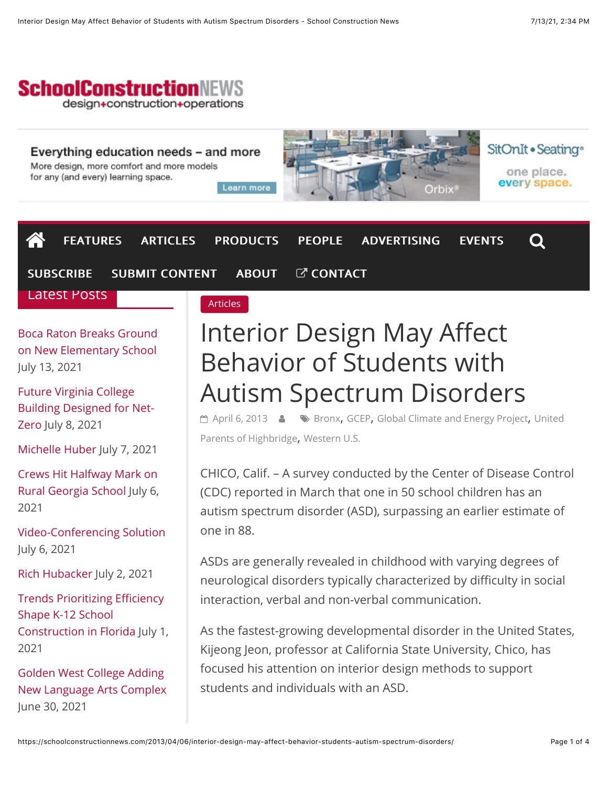

#### Everything education needs – and more

More design, more comfort and more models for any (and every) learning space.

Learn more



SitOnIt · Seating<sup>®</sup> one place. every space.

| 一个<br>FEATURES ARTICLES PRODUCTS PEOPLE ADVERTISING         |          |  |                                                                                                                                                                                                                                                                                                                                                                                           | <b>EVENTS</b> | $\mathbf Q$ |
|-------------------------------------------------------------|----------|--|-------------------------------------------------------------------------------------------------------------------------------------------------------------------------------------------------------------------------------------------------------------------------------------------------------------------------------------------------------------------------------------------|---------------|-------------|
| SUBSCRIBE SUBMIT CONTENT ABOUT C CONTACT                    |          |  |                                                                                                                                                                                                                                                                                                                                                                                           |               |             |
| <b>Latest Posts</b>                                         | Articles |  |                                                                                                                                                                                                                                                                                                                                                                                           |               |             |
| <b>Boca Raton Breaks Ground</b><br>on New Elementary School |          |  | Interior Design May Affect<br>$\mathcal{L}$ $\mathcal{L}$ $\mathcal{L}$ $\mathcal{L}$ $\mathcal{L}$ $\mathcal{L}$ $\mathcal{L}$ $\mathcal{L}$ $\mathcal{L}$ $\mathcal{L}$ $\mathcal{L}$ $\mathcal{L}$ $\mathcal{L}$ $\mathcal{L}$ $\mathcal{L}$ $\mathcal{L}$ $\mathcal{L}$ $\mathcal{L}$ $\mathcal{L}$ $\mathcal{L}$ $\mathcal{L}$ $\mathcal{L}$ $\mathcal{L}$ $\mathcal{L}$ $\mathcal{$ |               |             |

July 13, 2021

Future Virginia College [Building Designed for Net-](https://schoolconstructionnews.com/2021/07/08/future-virginia-college-building-designed-for-net-zero/)Zero July 8, 2021

[Michelle Huber](https://schoolconstructionnews.com/2021/07/07/michelle-huber/) July 7, 2021

[Crews Hit Halfway Mark on](https://schoolconstructionnews.com/2021/07/06/crews-hit-halfway-mark-on-rural-georgia-school/) Rural Georgia School July 6, 2021

[Video-Conferencing Solution](https://schoolconstructionnews.com/2021/07/06/video-conferencing-solution-2/) July 6, 2021

[Rich Hubacker](https://schoolconstructionnews.com/2021/07/02/rich-hubacker/) July 2, 2021

Trends Prioritizing Efficiency Shape K-12 School [Construction in Florida](https://schoolconstructionnews.com/2021/07/01/trends-prioritizing-efficiency-shape-k-12-school-construction-in-florida/) July 1, 2021

Golden West College Adding [New Language Arts Complex](https://schoolconstructionnews.com/2021/06/30/golden-west-college-adding-new-language-arts-complex/) June 30, 2021

# Behavior of Students with Autism Spectrum Disorders

**"** [April 6, 2013](https://schoolconstructionnews.com/2013/04/06/interior-design-may-affect-behavior-students-autism-spectrum-disorders/)  $\bullet$  We [Bronx](https://schoolconstructionnews.com/tag/bronx/)[,](https://schoolconstructionnews.com/tag/united_parents_of_highbridge/) [GCEP](https://schoolconstructionnews.com/tag/gcep/)[, G](https://schoolconstructionnews.com/tag/united_parents_of_highbridge/)[lobal Climate and Energy Project](https://schoolconstructionnews.com/tag/global_climate_and_energy_project/)[, United](https://schoolconstructionnews.com/tag/united_parents_of_highbridge/) Parents of Highbridge, [Western U.S.](https://schoolconstructionnews.com/tag/western_u.s./)

CHICO, Calif. – A survey conducted by the Center of Disease Control (CDC) reported in March that one in 50 school children has an autism spectrum disorder (ASD), surpassing an earlier estimate of one in 88.

ASDs are generally revealed in childhood with varying degrees of neurological disorders typically characterized by difficulty in social interaction, verbal and non-verbal communication.

As the fastest-growing developmental disorder in the United States, Kijeong Jeon, professor at California State University, Chico, has focused his attention on interior design methods to support students and individuals with an ASD.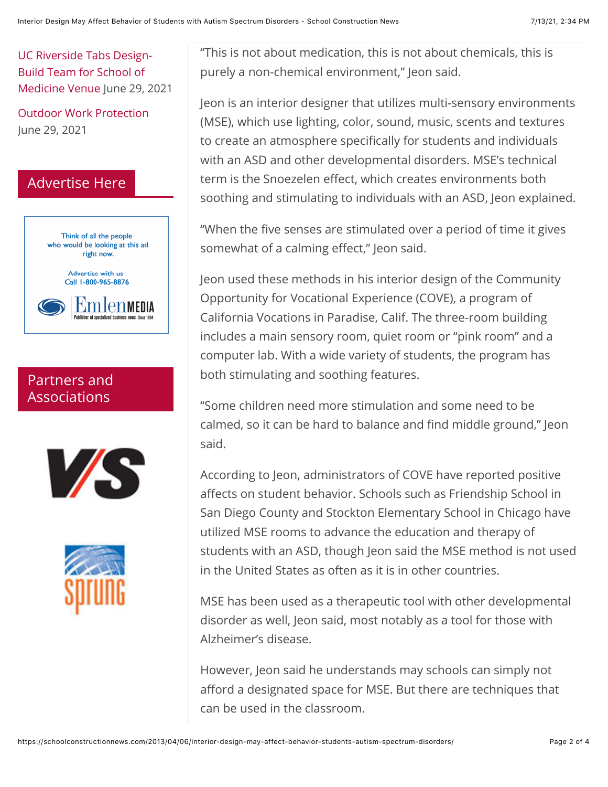[UC Riverside Tabs Design-](https://schoolconstructionnews.com/2021/06/29/uc-riverside-tabs-design-build-team-for-school-of-medicine-venue/)Build Team for School of Medicine Venue June 29, 2021

[Outdoor Work Protection](https://schoolconstructionnews.com/2021/06/29/outdoor-work-protection/) June 29, 2021

## Advertise Here



## Partners and Associations





"This is not about medication, this is not about chemicals, this is purely a non-chemical environment," Jeon said.

Jeon is an interior designer that utilizes multi-sensory environments (MSE), which use lighting, color, sound, music, scents and textures to create an atmosphere specifically for students and individuals with an ASD and other developmental disorders. MSE's technical term is the Snoezelen effect, which creates environments both soothing and stimulating to individuals with an ASD, Jeon explained.

"When the five senses are stimulated over a period of time it gives somewhat of a calming effect," Jeon said.

Jeon used these methods in his interior design of the Community Opportunity for Vocational Experience (COVE), a program of California Vocations in Paradise, Calif. The three-room building includes a main sensory room, quiet room or "pink room" and a computer lab. With a wide variety of students, the program has both stimulating and soothing features.

"Some children need more stimulation and some need to be calmed, so it can be hard to balance and find middle ground," Jeon said.

According to Jeon, administrators of COVE have reported positive affects on student behavior. Schools such as Friendship School in San Diego County and Stockton Elementary School in Chicago have utilized MSE rooms to advance the education and therapy of students with an ASD, though Jeon said the MSE method is not used in the United States as often as it is in other countries.

MSE has been used as a therapeutic tool with other developmental disorder as well, Jeon said, most notably as a tool for those with Alzheimer's disease.

However, Jeon said he understands may schools can simply not afford a designated space for MSE. But there are techniques that can be used in the classroom.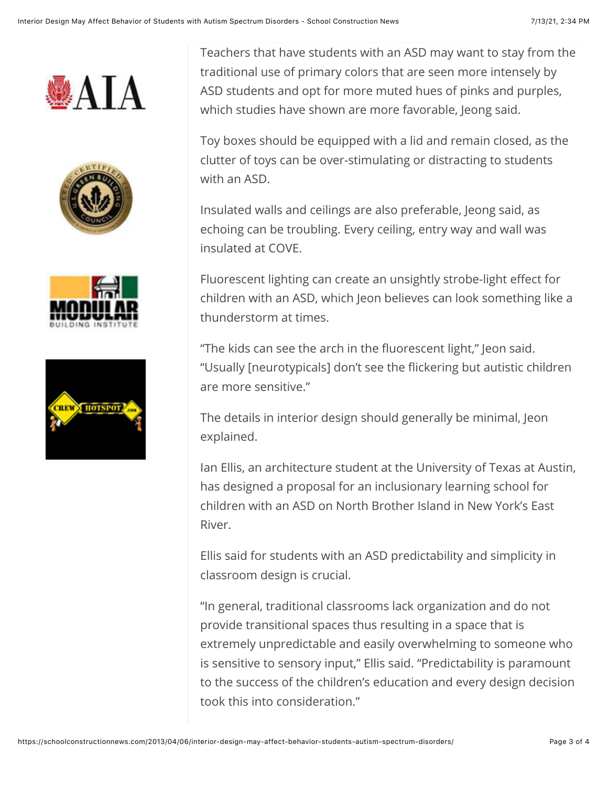







Teachers that have students with an ASD may want to stay from the traditional use of primary colors that are seen more intensely by ASD students and opt for more muted hues of pinks and purples, which studies have shown are more favorable, Jeong said.

Toy boxes should be equipped with a lid and remain closed, as the clutter of toys can be over-stimulating or distracting to students with an ASD.

Insulated walls and ceilings are also preferable, Jeong said, as echoing can be troubling. Every ceiling, entry way and wall was insulated at COVE.

Fluorescent lighting can create an unsightly strobe-light effect for children with an ASD, which Jeon believes can look something like a thunderstorm at times.

"The kids can see the arch in the fluorescent light," Jeon said. "Usually [neurotypicals] don't see the flickering but autistic children are more sensitive."

The details in interior design should generally be minimal, Jeon explained.

Ian Ellis, an architecture student at the University of Texas at Austin, has designed a proposal for an inclusionary learning school for children with an ASD on North Brother Island in New York's East River.

Ellis said for students with an ASD predictability and simplicity in classroom design is crucial.

"In general, traditional classrooms lack organization and do not provide transitional spaces thus resulting in a space that is extremely unpredictable and easily overwhelming to someone who is sensitive to sensory input," Ellis said. "Predictability is paramount to the success of the children's education and every design decision took this into consideration."